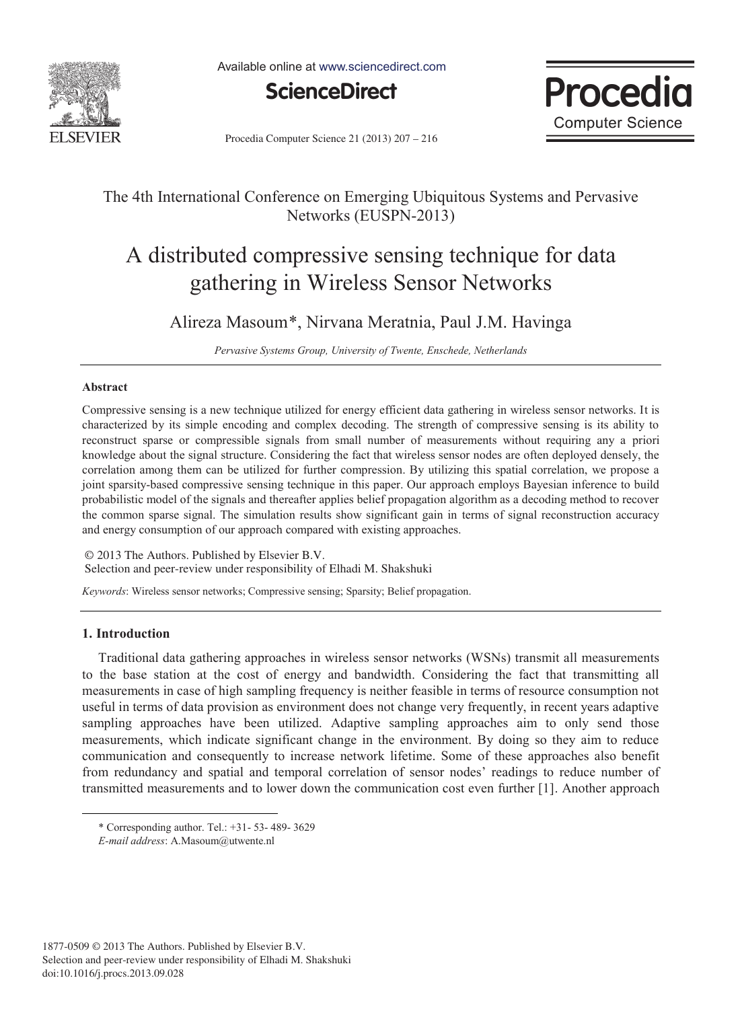

Available online at www.sciencedirect.com





Procedia Computer Science 21 (2013) 207 - 216

## The 4th International Conference on Emerging Ubiquitous Systems and Pervasive Networks (EUSPN-2013)

# A distributed compressive sensing technique for data gathering in Wireless Sensor Networks

## Alireza Masoum<sup>\*</sup>, Nirvana Meratnia, Paul J.M. Havinga

*Pervasive Systems Group, University of Twente, Enschede, Netherlands* 

### **Abstract**

Compressive sensing is a new technique utilized for energy efficient data gathering in wireless sensor networks. It is characterized by its simple encoding and complex decoding. The strength of compressive sensing is its ability to reconstruct sparse or compressible signals from small number of measurements without requiring any a priori knowledge about the signal structure. Considering the fact that wireless sensor nodes are often deployed densely, the correlation among them can be utilized for further compression. By utilizing this spatial correlation, we propose a joint sparsity-based compressive sensing technique in this paper. Our approach employs Bayesian inference to build probabilistic model of the signals and thereafter applies belief propagation algorithm as a decoding method to recover the common sparse signal. The simulation results show significant gain in terms of signal reconstruction accuracy and energy consumption of our approach compared with existing approaches.

 $\degree$  2013 The Authors. Published by Elsevier B.V.<br>Selection and peer-review under responsibility of Elhadi M. Shakshuki © 2013 The Authors. Published by Elsevier B.V.

*Keywords*: Wireless sensor networks; Compressive sensing; Sparsity; Belief propagation.

### **1. Introduction**

 $\overline{a}$ 

Traditional data gathering approaches in wireless sensor networks (WSNs) transmit all measurements to the base station at the cost of energy and bandwidth. Considering the fact that transmitting all measurements in case of high sampling frequency is neither feasible in terms of resource consumption not useful in terms of data provision as environment does not change very frequently, in recent years adaptive sampling approaches have been utilized. Adaptive sampling approaches aim to only send those measurements, which indicate significant change in the environment. By doing so they aim to reduce communication and consequently to increase network lifetime. Some of these approaches also benefit from redundancy and spatial and temporal correlation of sensor nodes' readings to reduce number of transmitted measurements and to lower down the communication cost even further [1]. Another approach

<sup>\*</sup> Corresponding author. Tel.: +31- 53- 489- 3629

*E-mail address*: A.Masoum@utwente.nl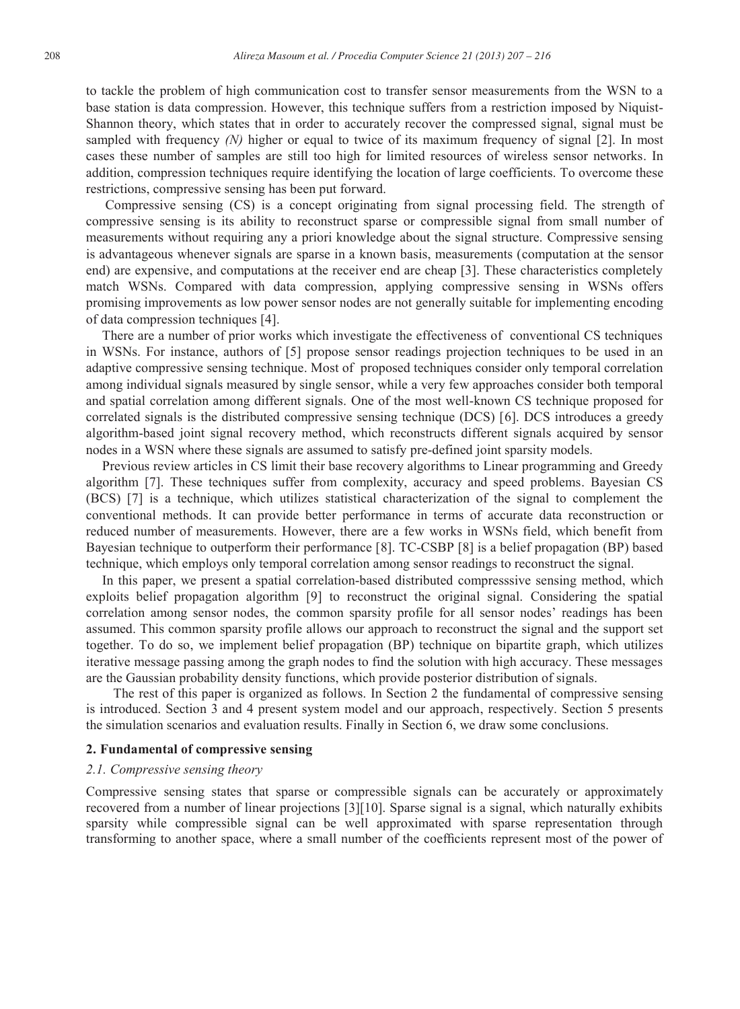to tackle the problem of high communication cost to transfer sensor measurements from the WSN to a base station is data compression. However, this technique suffers from a restriction imposed by Niquist-Shannon theory, which states that in order to accurately recover the compressed signal, signal must be sampled with frequency *(N)* higher or equal to twice of its maximum frequency of signal [2]. In most cases these number of samples are still too high for limited resources of wireless sensor networks. In addition, compression techniques require identifying the location of large coefficients. To overcome these restrictions, compressive sensing has been put forward.

Compressive sensing (CS) is a concept originating from signal processing field. The strength of compressive sensing is its ability to reconstruct sparse or compressible signal from small number of measurements without requiring any a priori knowledge about the signal structure. Compressive sensing is advantageous whenever signals are sparse in a known basis, measurements (computation at the sensor end) are expensive, and computations at the receiver end are cheap [3]. These characteristics completely match WSNs. Compared with data compression, applying compressive sensing in WSNs offers promising improvements as low power sensor nodes are not generally suitable for implementing encoding of data compression techniques [4].

There are a number of prior works which investigate the effectiveness of conventional CS techniques in WSNs. For instance, authors of [5] propose sensor readings projection techniques to be used in an adaptive compressive sensing technique. Most of proposed techniques consider only temporal correlation among individual signals measured by single sensor, while a very few approaches consider both temporal and spatial correlation among different signals. One of the most well-known CS technique proposed for correlated signals is the distributed compressive sensing technique (DCS) [6]. DCS introduces a greedy algorithm-based joint signal recovery method, which reconstructs different signals acquired by sensor nodes in a WSN where these signals are assumed to satisfy pre-defined joint sparsity models.

Previous review articles in CS limit their base recovery algorithms to Linear programming and Greedy algorithm [7]. These techniques suffer from complexity, accuracy and speed problems. Bayesian CS (BCS) [7] is a technique, which utilizes statistical characterization of the signal to complement the conventional methods. It can provide better performance in terms of accurate data reconstruction or reduced number of measurements. However, there are a few works in WSNs field, which benefit from Bayesian technique to outperform their performance [8]. TC-CSBP [8] is a belief propagation (BP) based technique, which employs only temporal correlation among sensor readings to reconstruct the signal.

In this paper, we present a spatial correlation-based distributed compresssive sensing method, which exploits belief propagation algorithm [9] to reconstruct the original signal. Considering the spatial correlation among sensor nodes, the common sparsity profile for all sensor nodes' readings has been assumed. This common sparsity profile allows our approach to reconstruct the signal and the support set together. To do so, we implement belief propagation (BP) technique on bipartite graph, which utilizes iterative message passing among the graph nodes to find the solution with high accuracy. These messages are the Gaussian probability density functions, which provide posterior distribution of signals.

 The rest of this paper is organized as follows. In Section 2 the fundamental of compressive sensing is introduced. Section 3 and 4 present system model and our approach, respectively. Section 5 presents the simulation scenarios and evaluation results. Finally in Section 6, we draw some conclusions.

#### **2. Fundamental of compressive sensing**

#### *2.1. Compressive sensing theory*

Compressive sensing states that sparse or compressible signals can be accurately or approximately recovered from a number of linear projections [3][10]. Sparse signal is a signal, which naturally exhibits sparsity while compressible signal can be well approximated with sparse representation through transforming to another space, where a small number of the coefficients represent most of the power of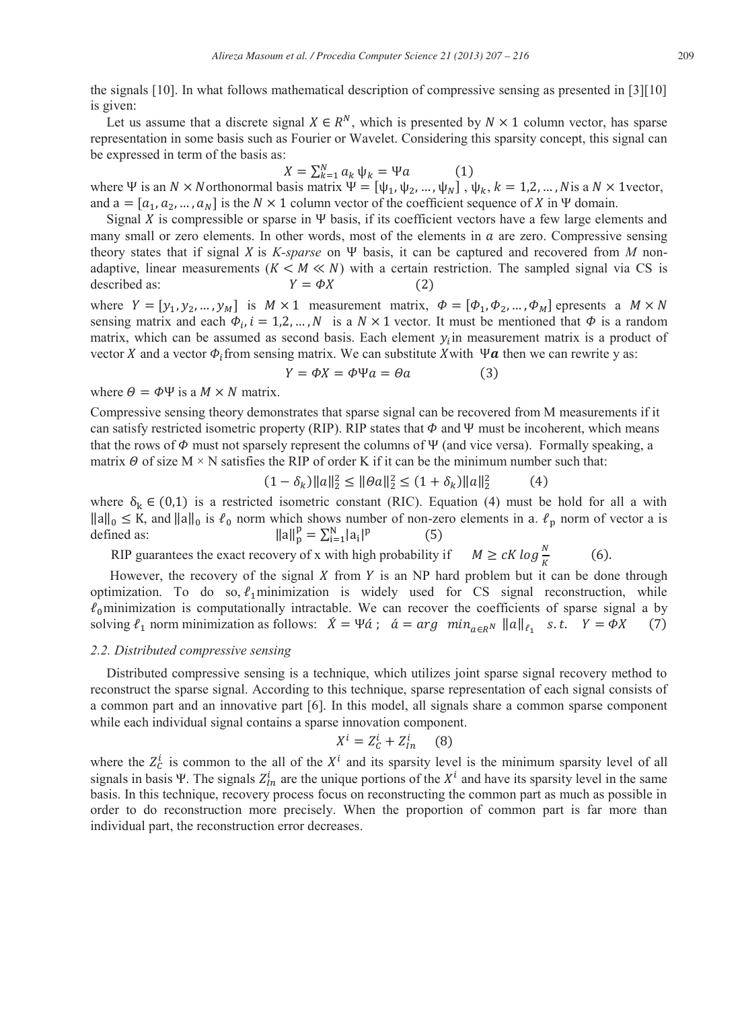the signals [10]. In what follows mathematical description of compressive sensing as presented in [3][10] is given:

Let us assume that a discrete signal  $X \in \mathbb{R}^N$ , which is presented by  $N \times 1$  column vector, has sparse representation in some basis such as Fourier or Wavelet. Considering this sparsity concept, this signal can be expressed in term of the basis as:

$$
X = \sum_{k=1}^{N} a_k \psi_k = \Psi a \tag{1}
$$

where  $\Psi$  is an  $N \times N$ orthonormal basis matrix  $\Psi = [\psi_1, \psi_2, ..., \psi_N]$ ,  $\psi_k$ ,  $k = 1, 2, ..., N$  is a  $N \times 1$ vector, and  $a = [a_1, a_2, ..., a_N]$  is the  $N \times 1$  column vector of the coefficient sequence of X in Ψ domain.

Signal  $X$  is compressible or sparse in  $\Psi$  basis, if its coefficient vectors have a few large elements and many small or zero elements. In other words, most of the elements in  $a$  are zero. Compressive sensing theory states that if signal  $X$  is  $K$ -sparse on  $\Psi$  basis, it can be captured and recovered from  $M$  nonadaptive, linear measurements ( $K < M \ll N$ ) with a certain restriction. The sampled signal via CS is described as:  $Y = \phi X$  (2)

where  $Y = [y_1, y_2, ..., y_M]$  is  $M \times 1$  measurement matrix,  $\Phi = [\Phi_1, \Phi_2, ..., \Phi_M]$  epresents a  $M \times N$ sensing matrix and each  $\Phi_i$ ,  $i = 1, 2, ..., N$  is a  $N \times 1$  vector. It must be mentioned that  $\Phi$  is a random matrix, which can be assumed as second basis. Each element  $y_i$  in measurement matrix is a product of vector X and a vector  $\Phi_i$  from sensing matrix. We can substitute X with  $\Psi \alpha$  then we can rewrite y as:

$$
Y = \phi X = \phi \Psi a = \theta a \tag{3}
$$

where  $\Theta = \Phi \Psi$  is a  $M \times N$  matrix.

Compressive sensing theory demonstrates that sparse signal can be recovered from M measurements if it can satisfy restricted isometric property (RIP). RIP states that  $\Phi$  and  $\Psi$  must be incoherent, which means that the rows of  $\Phi$  must not sparsely represent the columns of  $\Psi$  (and vice versa). Formally speaking, a matrix  $\Theta$  of size M  $\times$  N satisfies the RIP of order K if it can be the minimum number such that:

$$
(1 - \delta_k) \|a\|_2^2 \le \|\Theta a\|_2^2 \le (1 + \delta_k) \|a\|_2^2 \tag{4}
$$

where  $\delta_k \in (0,1)$  is a restricted isometric constant (RIC). Equation (4) must be hold for all a with  $\|a\|_0 \le K$ , and  $\|a\|_0$  is  $\ell_0$  norm which shows number of non-zero elements in a.  $\ell_p$  norm of vector a is defined as:  $||a||_p^p = \sum_{i=1}^{N} |a_i|^p$  (5)

RIP guarantees the exact recovery of x with high probability if  $M \ge cK \log \frac{N}{r}$  $(6)$ .

However, the recovery of the signal  $X$  from  $Y$  is an NP hard problem but it can be done through optimization. To do so,  $\ell_1$  minimization is widely used for CS signal reconstruction, while  $\ell_0$  minimization is computationally intractable. We can recover the coefficients of sparse signal a by solving  $\ell_1$  norm minimization as follows:  $\acute{X} = \Psi \acute{a}$ ;  $\acute{a} = \alpha rg \ \min_{a \in R^N} ||a||_{\ell_1}$  s.t.  $Y = \Phi X$  (7)

#### *2.2. Distributed compressive sensing*

Distributed compressive sensing is a technique, which utilizes joint sparse signal recovery method to reconstruct the sparse signal. According to this technique, sparse representation of each signal consists of a common part and an innovative part [6]. In this model, all signals share a common sparse component while each individual signal contains a sparse innovation component.

$$
X^i = Z^i_c + Z^i_{In} \quad (8)
$$

where the  $Z_c^i$  is common to the all of the  $X^i$  and its sparsity level is the minimum sparsity level of all signals in basis Ψ. The signals  $Z_{In}^i$  are the unique portions of the  $X^i$  and have its sparsity level in the same basis. In this technique, recovery process focus on reconstructing the common part as much as possible in order to do reconstruction more precisely. When the proportion of common part is far more than individual part, the reconstruction error decreases.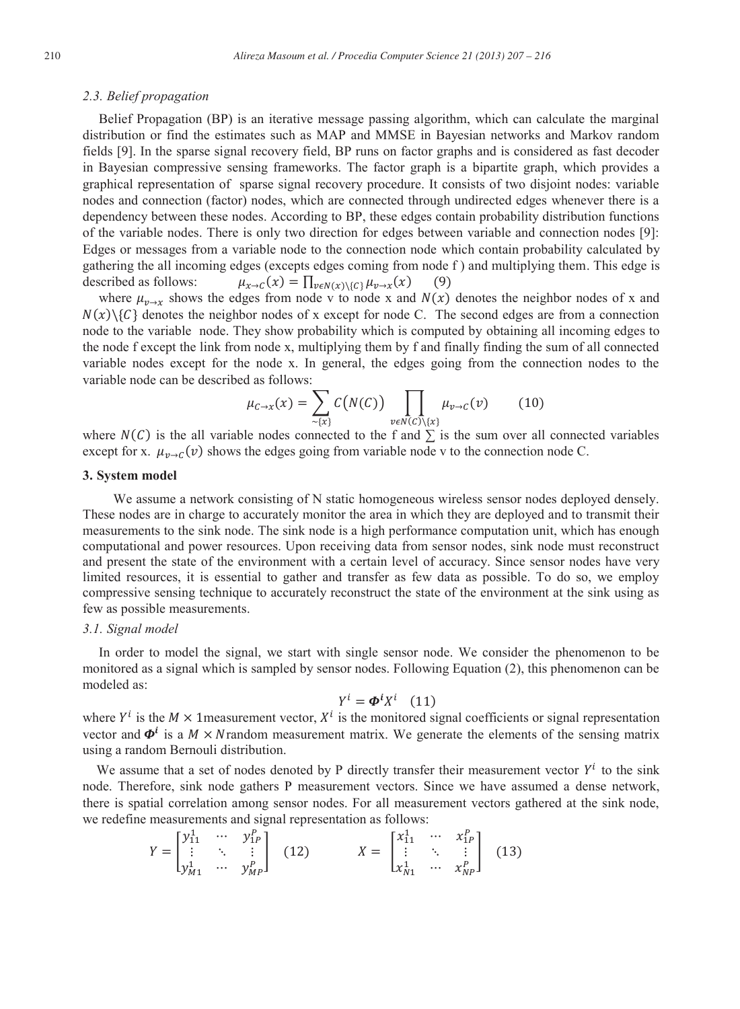#### *2.3. Belief propagation*

Belief Propagation (BP) is an iterative message passing algorithm, which can calculate the marginal distribution or find the estimates such as MAP and MMSE in Bayesian networks and Markov random fields [9]. In the sparse signal recovery field, BP runs on factor graphs and is considered as fast decoder in Bayesian compressive sensing frameworks. The factor graph is a bipartite graph, which provides a graphical representation of sparse signal recovery procedure. It consists of two disjoint nodes: variable nodes and connection (factor) nodes, which are connected through undirected edges whenever there is a dependency between these nodes. According to BP, these edges contain probability distribution functions of the variable nodes. There is only two direction for edges between variable and connection nodes [9]: Edges or messages from a variable node to the connection node which contain probability calculated by gathering the all incoming edges (excepts edges coming from node f ) and multiplying them. This edge is described as follows:  $\mu_{x \to C}(x) = \prod_{v \in N(x) \setminus \{C\}} \mu_{v \to x}(x)$  (9)

where  $\mu_{\nu \to x}$  shows the edges from node v to node x and  $N(x)$  denotes the neighbor nodes of x and  $N(x)\$ {C} denotes the neighbor nodes of x except for node C. The second edges are from a connection node to the variable node. They show probability which is computed by obtaining all incoming edges to the node f except the link from node x, multiplying them by f and finally finding the sum of all connected variable nodes except for the node x. In general, the edges going from the connection nodes to the variable node can be described as follows:

$$
\mu_{C \to x}(x) = \sum_{\sim \{x\}} C\big(N(C)\big) \prod_{v \in N(C) \setminus \{x\}} \mu_{v \to C}(v) \tag{10}
$$

where  $N(C)$  is the all variable nodes connected to the f and  $\Sigma$  is the sum over all connected variables except for x.  $\mu_{\nu \to C}(v)$  shows the edges going from variable node v to the connection node C.

#### **3. System model**

We assume a network consisting of N static homogeneous wireless sensor nodes deployed densely. These nodes are in charge to accurately monitor the area in which they are deployed and to transmit their measurements to the sink node. The sink node is a high performance computation unit, which has enough computational and power resources. Upon receiving data from sensor nodes, sink node must reconstruct and present the state of the environment with a certain level of accuracy. Since sensor nodes have very limited resources, it is essential to gather and transfer as few data as possible. To do so, we employ compressive sensing technique to accurately reconstruct the state of the environment at the sink using as few as possible measurements.

#### *3.1. Signal model*

In order to model the signal, we start with single sensor node. We consider the phenomenon to be monitored as a signal which is sampled by sensor nodes. Following Equation (2), this phenomenon can be modeled as:

$$
Y^i = \boldsymbol{\Phi}^i X^i \quad (11)
$$

where  $Y^i$  is the  $M \times 1$  measurement vector,  $X^i$  is the monitored signal coefficients or signal representation vector and  $\Phi^i$  is a  $M \times N$ random measurement matrix. We generate the elements of the sensing matrix using a random Bernouli distribution.

We assume that a set of nodes denoted by P directly transfer their measurement vector  $Y^i$  to the sink node. Therefore, sink node gathers P measurement vectors. Since we have assumed a dense network, there is spatial correlation among sensor nodes. For all measurement vectors gathered at the sink node, we redefine measurements and signal representation as follows:

$$
Y = \begin{bmatrix} y_{11}^1 & \cdots & y_{1P}^P \\ \vdots & \ddots & \vdots \\ y_{M1}^1 & \cdots & y_{MP}^P \end{bmatrix} \quad (12) \qquad X = \begin{bmatrix} x_{11}^1 & \cdots & x_{1P}^P \\ \vdots & \ddots & \vdots \\ x_{N1}^1 & \cdots & x_{NP}^P \end{bmatrix} \quad (13)
$$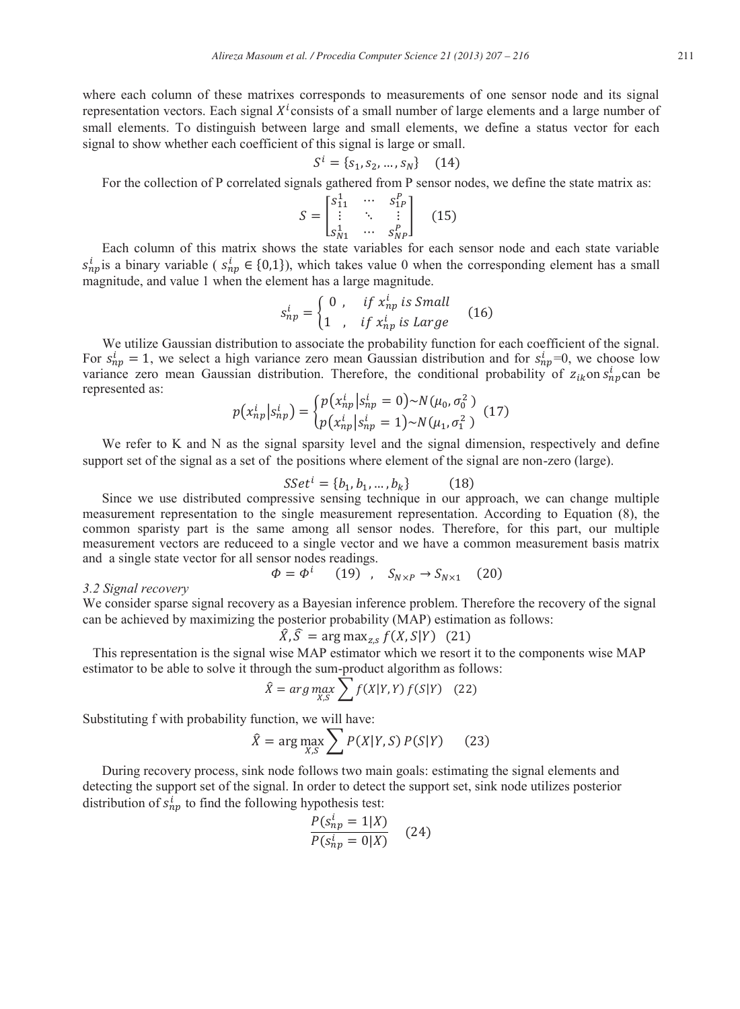where each column of these matrixes corresponds to measurements of one sensor node and its signal representation vectors. Each signal  $X^i$  consists of a small number of large elements and a large number of small elements. To distinguish between large and small elements, we define a status vector for each signal to show whether each coefficient of this signal is large or small.

$$
S^i = \{s_1, s_2, \dots, s_N\} \quad (14)
$$

For the collection of P correlated signals gathered from P sensor nodes, we define the state matrix as:

$$
S = \begin{bmatrix} S_{11}^1 & \cdots & S_{1P}^P \\ \vdots & \ddots & \vdots \\ S_{N1}^1 & \cdots & S_{NP}^P \end{bmatrix} \quad (15)
$$

Each column of this matrix shows the state variables for each sensor node and each state variable  $s_{np}^i$  is a binary variable ( $s_{np}^i \in \{0,1\}$ ), which takes value 0 when the corresponding element has a small magnitude, and value 1 when the element has a large magnitude.

$$
s_{np}^i = \begin{cases} 0, & if \ x_{np}^i \text{ is Small} \\ 1, & if \ x_{np}^i \text{ is Large} \end{cases} \tag{16}
$$

We utilize Gaussian distribution to associate the probability function for each coefficient of the signal. For  $s_{np}^i = 1$ , we select a high variance zero mean Gaussian distribution and for  $s_{np}^i = 0$ , we choose low variance zero mean Gaussian distribution. Therefore, the conditional probability of  $z_{ik}$  on  $s_{np}^i$  can be represented as:

$$
p(x_{np}^i|s_{np}^i) = \begin{cases} p(x_{np}^i|s_{np}^i = 0) \sim N(\mu_0, \sigma_0^2) \\ p(x_{np}^i|s_{np}^i = 1) \sim N(\mu_1, \sigma_1^2) \end{cases}
$$
(17)

We refer to K and N as the signal sparsity level and the signal dimension, respectively and define support set of the signal as a set of the positions where element of the signal are non-zero (large).

$$
SSeti = \{b_1, b_1, ..., b_k\}
$$
 (18)

Since we use distributed compressive sensing technique in our approach, we can change multiple measurement representation to the single measurement representation. According to Equation (8), the common sparisty part is the same among all sensor nodes. Therefore, for this part, our multiple measurement vectors are reduceed to a single vector and we have a common measurement basis matrix and a single state vector for all sensor nodes readings.

#### $\Phi = \Phi^i$  $(19)$ ,  $S_{N\times P} \rightarrow S_{N\times 1}$  (20)

#### *3.2 Signal recovery*

We consider sparse signal recovery as a Bayesian inference problem. Therefore the recovery of the signal can be achieved by maximizing the posterior probability (MAP) estimation as follows:

$$
\hat{X}, \hat{S} = \arg \max_{z,s} f(X, S|Y) \quad (21)
$$

 This representation is the signal wise MAP estimator which we resort it to the components wise MAP estimator to be able to solve it through the sum-product algorithm as follows:

$$
\hat{X} = arg \max_{X,S} \sum f(X|Y,Y) f(S|Y) \quad (22)
$$

Substituting f with probability function, we will have:

$$
\hat{X} = \arg \max_{X,S} \sum P(X|Y,S) P(S|Y) \tag{23}
$$

During recovery process, sink node follows two main goals: estimating the signal elements and detecting the support set of the signal. In order to detect the support set, sink node utilizes posterior distribution of  $s_{np}^i$  to find the following hypothesis test:

$$
\frac{P(s_{np}^i = 1|X)}{P(s_{np}^i = 0|X)} \quad (24)
$$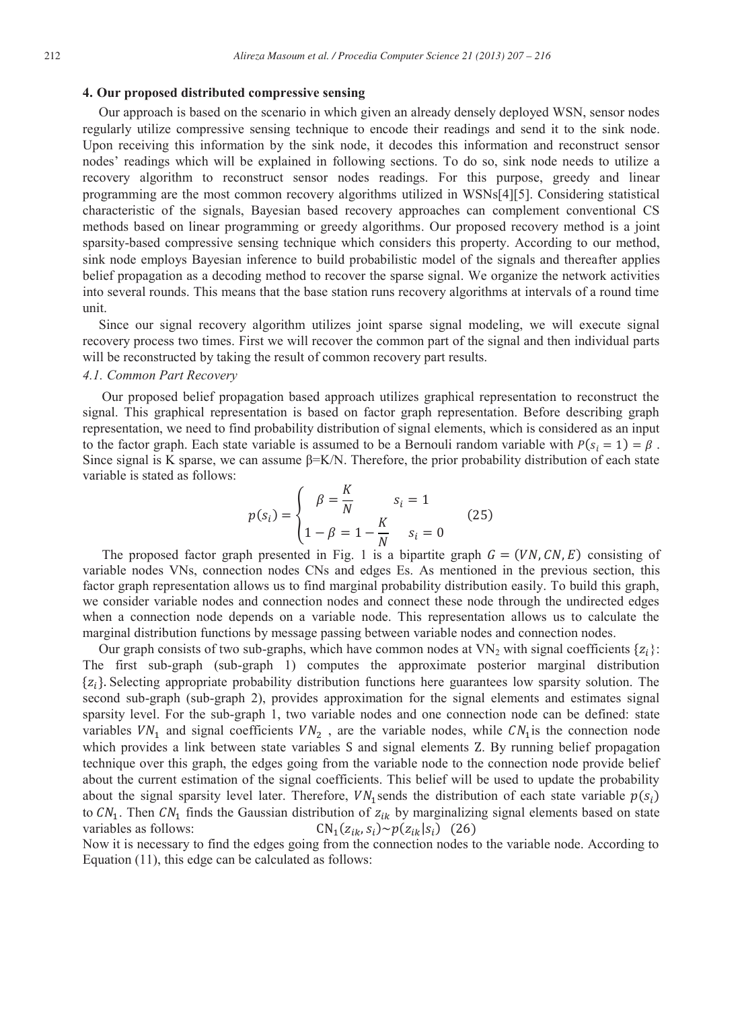#### **4. Our proposed distributed compressive sensing**

Our approach is based on the scenario in which given an already densely deployed WSN, sensor nodes regularly utilize compressive sensing technique to encode their readings and send it to the sink node. Upon receiving this information by the sink node, it decodes this information and reconstruct sensor nodes' readings which will be explained in following sections. To do so, sink node needs to utilize a recovery algorithm to reconstruct sensor nodes readings. For this purpose, greedy and linear programming are the most common recovery algorithms utilized in WSNs[4][5]. Considering statistical characteristic of the signals, Bayesian based recovery approaches can complement conventional CS methods based on linear programming or greedy algorithms. Our proposed recovery method is a joint sparsity-based compressive sensing technique which considers this property. According to our method, sink node employs Bayesian inference to build probabilistic model of the signals and thereafter applies belief propagation as a decoding method to recover the sparse signal. We organize the network activities into several rounds. This means that the base station runs recovery algorithms at intervals of a round time unit.

Since our signal recovery algorithm utilizes joint sparse signal modeling, we will execute signal recovery process two times. First we will recover the common part of the signal and then individual parts will be reconstructed by taking the result of common recovery part results.

#### *4.1. Common Part Recovery*

Our proposed belief propagation based approach utilizes graphical representation to reconstruct the signal. This graphical representation is based on factor graph representation. Before describing graph representation, we need to find probability distribution of signal elements, which is considered as an input to the factor graph. Each state variable is assumed to be a Bernouli random variable with  $P(s_i = 1) = \beta$ . Since signal is K sparse, we can assume  $\beta = K/N$ . Therefore, the prior probability distribution of each state variable is stated as follows:

$$
p(s_i) = \begin{cases} \beta = \frac{K}{N} & s_i = 1\\ 1 - \beta = 1 - \frac{K}{N} & s_i = 0 \end{cases}
$$
 (25)

The proposed factor graph presented in Fig. 1 is a bipartite graph  $G = (VN, CN, E)$  consisting of variable nodes VNs, connection nodes CNs and edges Es. As mentioned in the previous section, this factor graph representation allows us to find marginal probability distribution easily. To build this graph, we consider variable nodes and connection nodes and connect these node through the undirected edges when a connection node depends on a variable node. This representation allows us to calculate the marginal distribution functions by message passing between variable nodes and connection nodes.

Our graph consists of two sub-graphs, which have common nodes at  $VN_2$  with signal coefficients  $\{z_i\}$ : The first sub-graph (sub-graph 1) computes the approximate posterior marginal distribution  $\{z_i\}$ . Selecting appropriate probability distribution functions here guarantees low sparsity solution. The second sub-graph (sub-graph 2), provides approximation for the signal elements and estimates signal sparsity level. For the sub-graph 1, two variable nodes and one connection node can be defined: state variables  $VN_1$  and signal coefficients  $VN_2$ , are the variable nodes, while  $CN_1$  is the connection node which provides a link between state variables S and signal elements Z. By running belief propagation technique over this graph, the edges going from the variable node to the connection node provide belief about the current estimation of the signal coefficients. This belief will be used to update the probability about the signal sparsity level later. Therefore,  $VN_1$ sends the distribution of each state variable  $p(s_i)$ to  $CN_1$ . Then  $CN_1$  finds the Gaussian distribution of  $z_{ik}$  by marginalizing signal elements based on state variables as follows:  $CN_1(z_{ik}, s_i) \sim p(z_{ik}|s_i)$  (26)

Now it is necessary to find the edges going from the connection nodes to the variable node. According to Equation (11), this edge can be calculated as follows: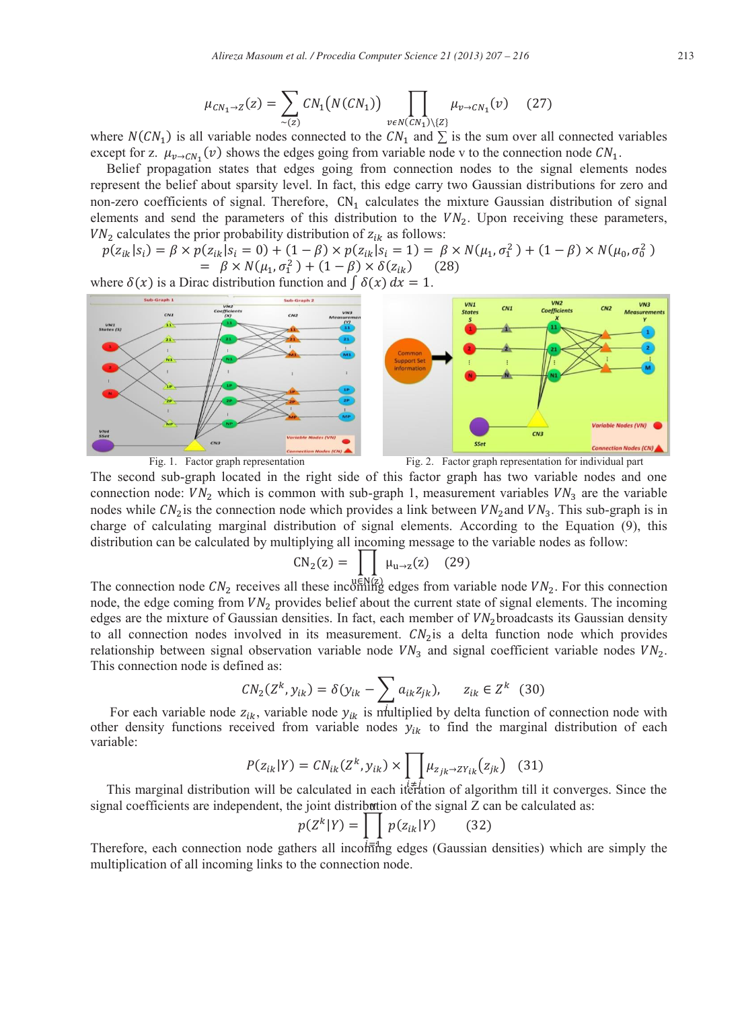$$
\mu_{CN_1 \to Z}(z) = \sum_{\sim(z)} CN_1(N(CN_1)) \prod_{v \in N(CN_1) \setminus \{Z\}} \mu_{v \to CN_1}(v) \tag{27}
$$

where  $N(CN_1)$  is all variable nodes connected to the  $CN_1$  and  $\Sigma$  is the sum over all connected variables except for z.  $\mu_{\nu \to cN}(\nu)$  shows the edges going from variable node v to the connection node  $CN_1$ .

Belief propagation states that edges going from connection nodes to the signal elements nodes represent the belief about sparsity level. In fact, this edge carry two Gaussian distributions for zero and non-zero coefficients of signal. Therefore,  $CN_1$  calculates the mixture Gaussian distribution of signal elements and send the parameters of this distribution to the  $VN<sub>2</sub>$ . Upon receiving these parameters,  $VN<sub>2</sub>$  calculates the prior probability distribution of  $z_{ik}$  as follows:

$$
p(z_{ik}|s_i) = \beta \times p(z_{ik}|s_i = 0) + (1 - \beta) \times p(z_{ik}|s_i = 1) = \beta \times N(\mu_1, \sigma_1^2) + (1 - \beta) \times N(\mu_0, \sigma_0^2)
$$
  
=  $\beta \times N(\mu_1, \sigma_1^2) + (1 - \beta) \times \delta(z_{ik})$  (28)

where  $\delta(x)$  is a Dirac distribution function and  $\int \delta(x) dx = 1$ .



Fig. 1. Factor graph representation Fig. 2. Factor graph representation for individual part

The second sub-graph located in the right side of this factor graph has two variable nodes and one connection node:  $VN_2$  which is common with sub-graph 1, measurement variables  $VN_3$  are the variable nodes while  $CN_2$  is the connection node which provides a link between  $VN_2$  and  $VN_3$ . This sub-graph is in charge of calculating marginal distribution of signal elements. According to the Equation (9), this distribution can be calculated by multiplying all incoming message to the variable nodes as follow:

$$
CN_2(z) = \prod_{u \in N(z)} \mu_{u \to z}(z) \quad (29)
$$

The connection node  $CN_2$  receives all these incoming edges from variable node  $VN_2$ . For this connection node, the edge coming from  $VN_2$  provides belief about the current state of signal elements. The incoming edges are the mixture of Gaussian densities. In fact, each member of  $VN<sub>2</sub>$ broadcasts its Gaussian density to all connection nodes involved in its measurement.  $CN<sub>2</sub>$  is a delta function node which provides relationship between signal observation variable node  $VN_3$  and signal coefficient variable nodes  $VN_2$ . This connection node is defined as:

$$
CN_2(Z^k, y_{ik}) = \delta(y_{ik} - \sum_{i} a_{ik} z_{jk}), \qquad z_{ik} \in Z^k \quad (30)
$$

For each variable node  $z_{ik}$ , variable node  $y_{ik}$  is multiplied by delta function of connection node with other density functions received from variable nodes  $y_{ik}$  to find the marginal distribution of each variable:

$$
P(z_{ik}|Y) = CN_{ik}(Z^k, y_{ik}) \times \prod_{i \neq j_k \to ZY_{ik}} (\mathbf{z}_{jk})
$$
 (31)

This marginal distribution will be calculated in each iteration of algorithm till it converges. Since the signal coefficients are independent, the joint distribution of the signal Z can be calculated as: ே

$$
p(Z^k|Y) = \prod_{i=1} p(z_{ik}|Y) \qquad (32)
$$

Therefore, each connection node gathers all incoming edges (Gaussian densities) which are simply the multiplication of all incoming links to the connection node.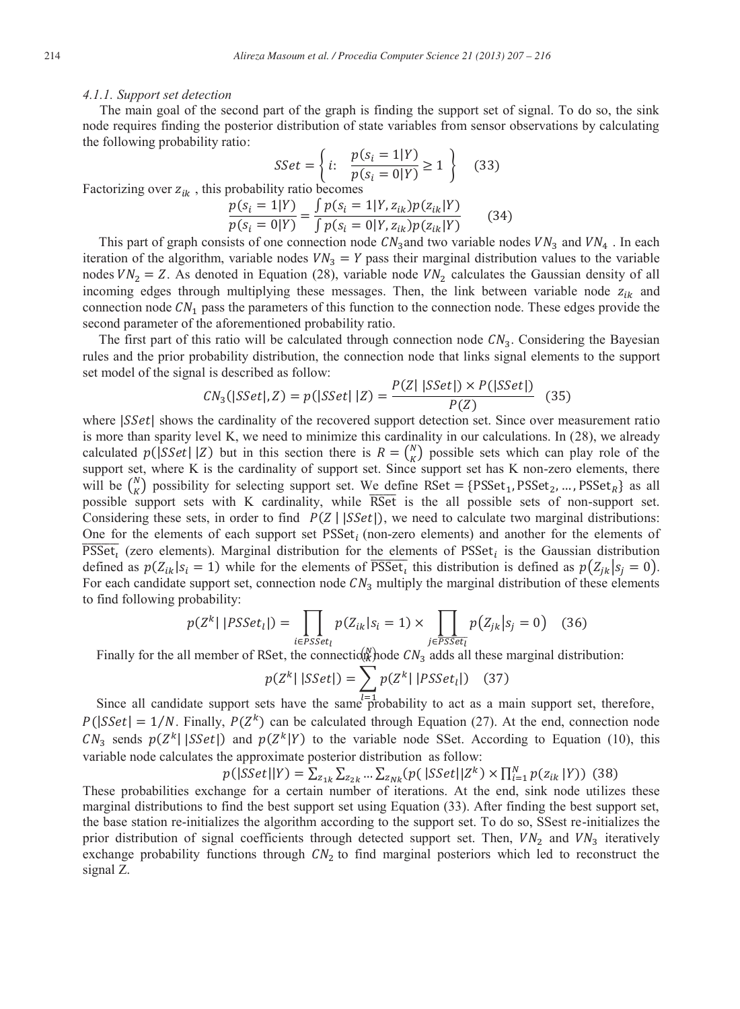#### *4.1.1. Support set detection*

 The main goal of the second part of the graph is finding the support set of signal. To do so, the sink node requires finding the posterior distribution of state variables from sensor observations by calculating the following probability ratio:

$$
SSet = \left\{ i: \frac{p(s_i = 1|Y)}{p(s_i = 0|Y)} \ge 1 \right\}
$$
 (33)

Factorizing over  $z_{ik}$ , this probability ratio becomes

$$
\frac{p(s_i = 1|Y)}{p(s_i = 0|Y)} = \frac{\int p(s_i = 1|Y, z_{ik})p(z_{ik}|Y)}{\int p(s_i = 0|Y, z_{ik})p(z_{ik}|Y)}\tag{34}
$$

This part of graph consists of one connection node  $CN_3$  and two variable nodes  $VN_3$  and  $VN_4$ . In each iteration of the algorithm, variable nodes  $VN_3 = Y$  pass their marginal distribution values to the variable nodes  $VN_2 = Z$ . As denoted in Equation (28), variable node  $VN_2$  calculates the Gaussian density of all incoming edges through multiplying these messages. Then, the link between variable node  $z_{ik}$  and connection node  $CN_1$  pass the parameters of this function to the connection node. These edges provide the second parameter of the aforementioned probability ratio.

The first part of this ratio will be calculated through connection node  $CN<sub>3</sub>$ . Considering the Bayesian rules and the prior probability distribution, the connection node that links signal elements to the support set model of the signal is described as follow:

$$
CN_3(|SSet|,Z) = p(|SSet| |Z) = \frac{P(Z| |SSet|) \times P(|SSet|)}{P(Z)}
$$
(35)

where  $|SSet|$  shows the cardinality of the recovered support detection set. Since over measurement ratio is more than sparity level K, we need to minimize this cardinality in our calculations. In (28), we already calculated  $p(|SSet| |Z)$  but in this section there is  $R = {N \choose K}$  possible sets which can play role of the support set, where K is the cardinality of support set. Since support set has K non-zero elements, there will be  $\binom{N}{K}$  possibility for selecting support set. We define RSet = {PSSet<sub>1</sub>, PSSet<sub>2</sub>, ..., PSSet<sub>R</sub>} as all possible support sets with K cardinality, while  $\overline{\text{RSet}}$  is the all possible sets of non-support set. Considering these sets, in order to find  $P(Z | SSet)$ , we need to calculate two marginal distributions: One for the elements of each support set  $PSSet_i$  (non-zero elements) and another for the elements of  $\overline{PSSet}_i$  (zero elements). Marginal distribution for the elements of PSSet<sub>i</sub> is the Gaussian distribution defined as  $p(Z_{ik}|s_i = 1)$  while for the elements of  $\overline{PSSet_i}$  this distribution is defined as  $p(Z_{ik}|s_i = 0)$ . For each candidate support set, connection node  $CN_3$  multiply the marginal distribution of these elements to find following probability:

$$
p(Z^k | |PSSet_l|) = \prod_{i \in PSSet_l} p(Z_{ik} | s_i = 1) \times \prod_{j \in PSSet_l} p(Z_{jk} | s_j = 0) \quad (36)
$$

Finally for the all member of RSet, the connection  $(N_A)$  adds all these marginal distribution:

$$
p(Z^{k} | |SSet|) = \sum_{l=1} p(Z^{k} | |PSSet_l|) \quad (37)
$$

Since all candidate support sets have the same probability to act as a main support set, therefore,  $P(|SSet| = 1/N$ . Finally,  $P(Z^k)$  can be calculated through Equation (27). At the end, connection node  $CN_3$  sends  $p(Z^k | SSet)$  and  $p(Z^k | Y)$  to the variable node SSet. According to Equation (10), this variable node calculates the approximate posterior distribution as follow:

 $p(|SSet||Y) = \sum_{z_{1k}} \sum_{z_{2k}} ... \sum_{z_{Nk}} (p(|SSet||Z^{k}) \times \prod_{i=1}^{N} p(z_{ik} | Y))$  (38) These probabilities exchange for a certain number of iterations. At the end, sink node utilizes these marginal distributions to find the best support set using Equation (33). After finding the best support set, the base station re-initializes the algorithm according to the support set. To do so, SSest re-initializes the prior distribution of signal coefficients through detected support set. Then,  $VN_2$  and  $VN_3$  iteratively exchange probability functions through  $CN_2$  to find marginal posteriors which led to reconstruct the signal Z.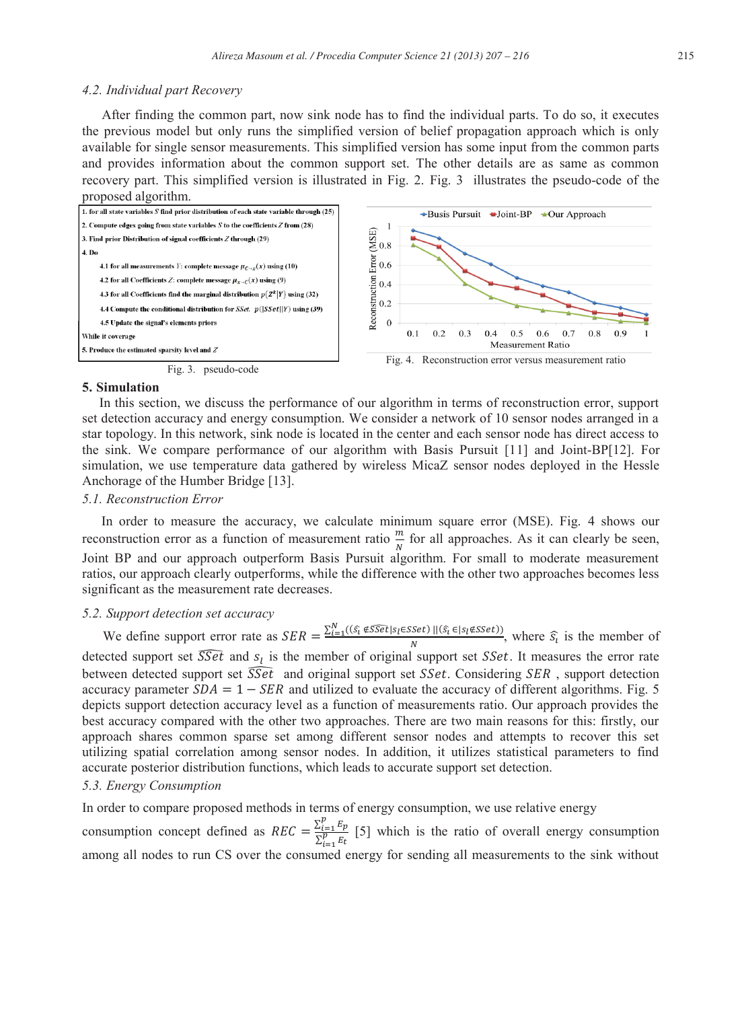#### *4.2. Individual part Recovery*

 After finding the common part, now sink node has to find the individual parts. To do so, it executes the previous model but only runs the simplified version of belief propagation approach which is only available for single sensor measurements. This simplified version has some input from the common parts and provides information about the common support set. The other details are as same as common recovery part. This simplified version is illustrated in Fig. 2. Fig. 3 illustrates the pseudo-code of the proposed algorithm.



## **5. Simulation**

 In this section, we discuss the performance of our algorithm in terms of reconstruction error, support set detection accuracy and energy consumption. We consider a network of 10 sensor nodes arranged in a star topology. In this network, sink node is located in the center and each sensor node has direct access to the sink. We compare performance of our algorithm with Basis Pursuit [11] and Joint-BP[12]. For simulation, we use temperature data gathered by wireless MicaZ sensor nodes deployed in the Hessle Anchorage of the Humber Bridge [13].

#### *5.1. Reconstruction Error*

In order to measure the accuracy, we calculate minimum square error (MSE). Fig. 4 shows our reconstruction error as a function of measurement ratio  $\frac{m}{N}$  for all approaches. As it can clearly be seen, Joint BP and our approach outperform Basis Pursuit algorithm. For small to moderate measurement ratios, our approach clearly outperforms, while the difference with the other two approaches becomes less significant as the measurement rate decreases.

#### *5.2. Support detection set accuracy*

We define support error rate as  $SER = \frac{\sum_{i=1}^{N}((\hat{s}_i \notin \overline{SSet}|s_i \in Sset)) |(\hat{s}_i \in |s_i \notin Sset)})}{N}$ , where  $\hat{s}_i$  is the member of detected support set  $\widehat{SSet}$  and  $S_i$  is the member of original support set  $SSet$ . It measures the error rate between detected support set  $\overline{SSet}$  and original support set  $SSet$ . Considering  $\overline{SER}$ , support detection accuracy parameter  $SDA = 1 - SER$  and utilized to evaluate the accuracy of different algorithms. Fig. 5 depicts support detection accuracy level as a function of measurements ratio. Our approach provides the best accuracy compared with the other two approaches. There are two main reasons for this: firstly, our approach shares common sparse set among different sensor nodes and attempts to recover this set utilizing spatial correlation among sensor nodes. In addition, it utilizes statistical parameters to find accurate posterior distribution functions, which leads to accurate support set detection.

#### *5.3. Energy Consumption*

In order to compare proposed methods in terms of energy consumption, we use relative energy

consumption concept defined as  $REC = \frac{\sum_{i=1}^{p} E_p}{\sum_{i=1}^{p} E_t}$  [5] which is the ratio of overall energy consumption among all nodes to run CS over the consumed energy for sending all measurements to the sink without